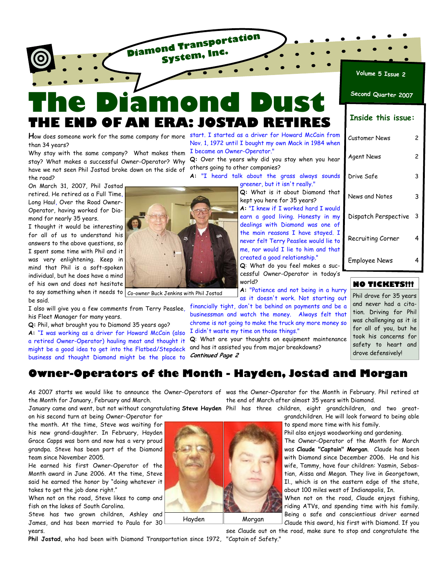

**Diamond Transportation System, Inc.**

than 34 years?

stay? What makes a successful Owner-Operator? Why have we not seen Phil Jostad broke down on the side of the road?

On March 31, 2007, Phil Jostad retired. He retired as a Full Time, Long Haul, Over the Road Owner-Operator, having worked for Diamond for nearly 35 years.

I thought it would be interesting for all of us to understand his answers to the above questions, so I spent some time with Phil and it was very enlightening. Keep in mind that Phil is a soft-spoken individual, but he does have a mind of his own and does not hesitate to say something when it needs to  $\mid$   $_{\rm Co-owner}$  Buck Jenkins with Phil Jostad be said.

I also will give you a few comments from Terry Peaslee, his Fleet Manager for many years.

**Q:** Phil, what brought you to Diamond 35 years ago?

**A:** "I was working as a driver for Howard McCain (also a retired Owner-Operator) hauling meat and thought it might be a good idea to get into the Flatbed/Stepdeck business and thought Diamond might be the place to

Nov. 1, 1972 until I bought my own Mack in 1984 when

**Q:** Over the years why did you stay when you hear others going to other companies?

**A:** "I heard talk about the grass always sounds greener, but it isn't really."

> **Q:** What is it about Diamond that kept you here for 35 years? **A:** "I knew if I worked hard I would earn a good living. Honesty in my dealings with Diamond was one of the main reasons I have stayed. I never felt Terry Peaslee would lie to me, nor would I lie to him and that created a good relationship." **Q**: What do you feel makes a suc-

cessful Owner-Operator in today's world?

**A:** "Patience and not being in a hurry as it doesn't work. Not starting out

financially tight, don't be behind on payments and be a businessman and watch the money. Always felt that chrome is not going to make the truck any more money so I didn't waste my time on those things."

**Q**: What are your thoughts on equipment maintenance

| <u>Volume 5 Issue 2</u>   |   |
|---------------------------|---|
| Second Quarter 2007       |   |
| <b>Inside this issue:</b> |   |
| Customer News             | 2 |
| <b>Agent News</b>         | 2 |
| Drive Safe                | 3 |
| News and Notes            | 3 |
| Dispatch Perspective      | 3 |
| Recruiting Corner         | 4 |
| Employee News             | 4 |
|                           |   |

## **NO TICKETS!!!**

Phil drove for 35 years and never had a citation. Driving for Phil was challenging as it is for all of you, but he took his concerns for safety to heart and drove defensively!

# **Owner-Operators of the Month - Hayden, Jostad and Morgan**

the Month for January, February and March.

January came and went, but not without congratulating **Steve Hayden** Phil has three children, eight grandchildren, and two greaton his second turn at being Owner-Operator for

the month. At the time, Steve was waiting for his new grand-daughter. In February, Hayden Grace Capps was born and now has a very proud grandpa. Steve has been part of the Diamond team since November 2005.

He earned his first Owner-Operator of the Month award in June 2006. At the time, Steve said he earned the honor by "doing whatever it takes to get the job done right."

When not on the road, Steve likes to camp and fish on the lakes of South Carolina.

Steve has two grown children, Ashley and James, and has been married to Paula for 30 years.

**Phil Jostad**, who had been with Diamond Transportation since 1972, "Captain of Safety."

As 2007 starts we would like to announce the Owner-Operators of was the Owner-Operator for the Month in February. Phil retired at the end of March after almost 35 years with Diamond.

grandchildren. He will look forward to being able

to spend more time with his family. Phil also enjoys woodworking and gardening.

The Owner-Operator of the Month for March was **Claude "Captain" Morgan**. Claude has been

with Diamond since December 2006. He and his wife, Tammy, have four children: Yasmin, Sebastian, Aissa and Megan. They live in Georgetown, Il., which is on the eastern edge of the state, about 100 miles west of Indianapolis, In.

When not on the road, Claude enjoys fishing, riding ATVs, and spending time with his family. Being a safe and conscientious driver earned Claude this award, his first with Diamond. If you

see Claude out on the road, make sure to stop and congratulate the



# **H**ow does someone work for the same company for more start. I started as a driver for Howard McCain from Why stay with the same company? What makes them I became an Owner-Operator."

and has it assisted you from major breakdowns? **Continued Page 2** 

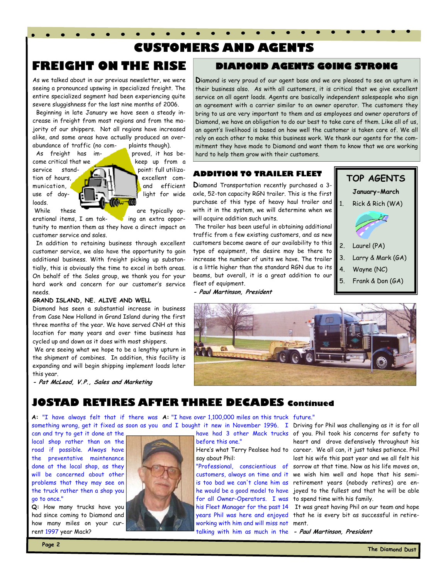# **CUSTOMERS AND AGENTS**

# **FREIGHT ON THE RISE**

As we talked about in our previous newsletter, we were seeing a pronounced upswing in specialized freight. The entire specialized segment had been experiencing quite severe sluggishness for the last nine months of 2006.

 Beginning in late January we have seen a steady increase in freight from most regions and from the majority of our shippers. Not all regions have increased alike, and some areas have actually produced an overabundance of traffic (no com- plaints though).

loads.

As freight has im-<br> **As freight has im-** proved, it has become critical that we keep up from a service stand- **point:** full utilization of hours, **excellent** communication, **4. 4. 1. The manufacture** efficient use of day- light for wide

While these **and the state of the state of the state of the state of the state of the state of the state of the state of the state of the state of the state of the state of the state of the state of the state of the state** erational items, I am tak- ing an extra opportunity to mention them as they have a direct impact on customer service and sales.

 In addition to retaining business through excellent customer service, we also have the opportunity to gain additional business. With freight picking up substantially, this is obviously the time to excel in both areas. On behalf of the Sales group, we thank you for your hard work and concern for our customer's service needs.

## **GRAND ISLAND, NE. ALIVE AND WELL**

Diamond has seen a substantial increase in business from Case New Holland in Grand Island during the first three months of the year. We have served CNH at this location for many years and over time business has cycled up and down as it does with most shippers.

 We are seeing what we hope to be a lengthy upturn in the shipment of combines. In addition, this facility is expanding and will begin shipping implement loads later this year.

**- Pat McLeod, V.P., Sales and Marketing**

# **DIAMOND AGENTS GOING STRONG**

**D**iamond is very proud of our agent base and we are pleased to see an upturn in their business also. As with all customers, it is critical that we give excellent service on all agent loads. Agents are basically independent salespeople who sign an agreement with a carrier similar to an owner operator. The customers they bring to us are very important to them and as employees and owner operators of Diamond, we have an obligation to do our best to take care of them. Like all of us, an agent's livelihood is based on how well the customer is taken care of. We all rely on each other to make this business work. We thank our agents for the commitment they have made to Diamond and want them to know that we are working hard to help them grow with their customers.

## **ADDITION TO TRAILER FLEET**

**D**iamond Transportation recently purchased a 3 axle, 52-ton capacity RGN trailer. This is the first purchase of this type of heavy haul trailer and with it in the system, we will determine when we will acquire addition such units.

 The trailer has been useful in obtaining additional traffic from a few existing customers, and as new customers become aware of our availability to this type of equipment, the desire may be there to increase the number of units we have. The trailer is a little higher than the standard RGN due to its beams, but overall, it is a great addition to our fleet of equipment.

**- Paul Martinson, President**

# **TOP AGENTS**

**January-March** 

1. Rick & Rich (WA)



- 2. Laurel (PA)
- 3. Larry & Mark (GA)
- 4. Wayne (NC)
- 5. Frank & Don (GA)



# **JOSTAD RETIRES AFTER THREE DECADES Continued**

**A:** "I have always felt that if there was **A:** "I have over 1,100,000 miles on this truck future." something wrong, get it fixed as soon as you and I bought it new in November 1996. I Driving for Phil was challenging as it is for all

can and try to get it done at the local shop rather than on the road if possible. Always have the preventative maintenance done at the local shop, as they will be concerned about other problems that they may see on the truck rather then a shop you go to once."

**Q:** How many trucks have you had since coming to Diamond and how many miles on your current 1997 year Mack?



before this one."

say about Phil:

customers, always on time and it is too bad we can't clone him as he would be a good model to have for all Owner-Operators. I was his Fleet Manager for the past 14 years Phil was here and enjoyed working with him and will miss not talking with him as much in the

have had 3 other Mack trucks of you. Phil took his concerns for safety to Here's what Terry Pealsee had to career. We all can, it just takes patience. Phil "Professional, conscientious of sorrow at that time. Now as his life moves on, heart and drove defensively throughout his lost his wife this past year and we all felt his we wish him well and hope that his semiretirement years (nobody retires) are enjoyed to the fullest and that he will be able to spend time with his family.

> It was great having Phil on our team and hope that he is every bit as successful in retirement.

**- Paul Martinson, President**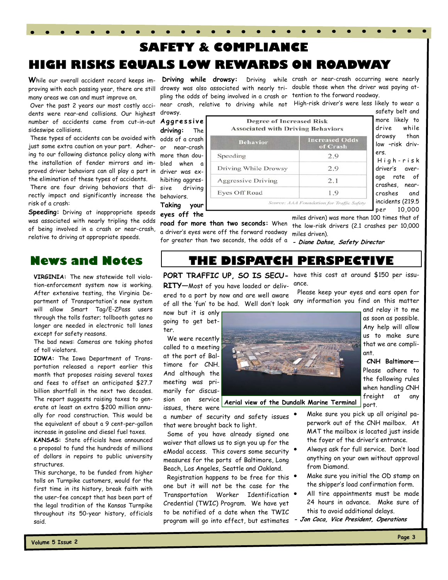# **SAFETY & COMPLIANCE HIGH RISKS EQUALS LOW REWARDS ON ROADWAY**

**W**hile our overall accident record keeps improving with each passing year, there are still many areas we can and must improve on.

 Over the past 2 years our most costly accidents were rear-end collisions. Our highest number of accidents came from cut-in-out sideswipe collisions.

 These types of accidents can be avoided with just some extra caution on your part. Adhering to our following distance policy along with the installation of fender mirrors and improved driver behaviors can all play a part in the elimination of these types of accidents.

 There are four driving behaviors that directly impact and significantly increase the behaviors. risk of a crash:

**Speeding:** Driving at inappropriate speeds was associated with nearly tripling the odds of being involved in a crash or near-crash, relative to driving at appropriate speeds.

**VIRGINIA:** The new statewide toll violation-enforcement system now is working. After extensive testing, the Virginia Department of Transportation's new system will allow Smart Tag/E-ZPass users through the tolls faster; tollbooth gates no longer are needed in electronic toll lanes except for safety reasons.

The bad news: Cameras are taking photos of toll violators.

**IOWA:** The Iowa Department of Transportation released a report earlier this month that proposes raising several taxes and fees to offset an anticipated \$27.7 billion shortfall in the next two decades. The report suggests raising taxes to generate at least an extra \$200 million annually for road construction. This would be the equivalent of about a 9 cent-per-gallon increase in gasoline and diesel fuel taxes.

**KANSAS:** State officials have announced a proposal to fund the hundreds of millions of dollars in repairs to public university structures.

This surcharge, to be funded from higher tolls on Turnpike customers, would for the first time in its history, break faith with the user-fee concept that has been part of the legal tradition of the Kansas Turnpike throughout its 50-year history, officials said.

pling the odds of being involved in a crash or tention to the forward roadway. near crash, relative to driving while not High-risk driver's were less likely to wear a drowsy.

Speeding

**A g g r e s s i v e driving:** The odds of a crash or near-crash more than doubled when a driver was exhibiting aggressive driving **Taking your** 

**eyes off the** 

**road for more than two seconds:** When a driver's eyes were off the forward roadway for greater than two seconds, the odds of a

**Driving while drowsy:** Driving while crash or near-crash occurring were nearly drowsy was also associated with nearly tri-double those when the driver was paying at-

safety belt and more likely to drive while drowsy than low –risk drivers. H i g h - r i s k

driver's average rate of crashes, nearcrashes and incidents (219.5 per 10,000

miles driven) was more than 100 times that of the low-risk drivers (2.1 crashes per 10,000

**- Diane Dahse, Safety Director** 

**Increased Odds** 

of Crash

2.9

2.9

 $2.1$ 

 $1<sub>Q</sub>$ 

# **News and Notes THE DISPATCH PERSPECTIVE**

**Degree of Increased Risk Associated with Driving Behaviors** 

**Behavior** 

Driving While Drowsy

**Aggressive Driving** 

**Eyes Off Road** 

miles driven).

Source: AAA Foundation for Traffic Safety

**PORT TRAFFIC UP, SO IS SECU-**have this cost at around \$150 per issuance.

**RITY—**Most of you have loaded or delivered to a port by now and are well aware of all the 'fun' to be had. Well don't look

now but it is only going to get better.

 We were recently called to a meeting at the port of Baltimore for CNH. And although the meeting was primarily for discussion on service issues, there were

a number of security and safety issues that were brought back to light.

 Some of you have already signed one waiver that allows us to sign you up for the eModal access. This covers some security  $\bullet$ measures for the ports of Baltimore, Long Beach, Los Angeles, Seattle and Oakland.

 Registration happens to be free for this one but it will not be the case for the Transportation Worker Identification • Credential (TWIC) Program. We have yet to be notified of a date when the TWIC program will go into effect, but estimates **- Jon Coca, Vice President, Operations** 



**Aerial view of the Dundalk Marine Terminal** 

 Please keep your eyes and ears open for any information you find on this matter

and relay it to me as soon as possible. Any help will allow us to make sure that we are compliant.

 **CNH Baltimore—** Please adhere to the following rules when handling CNH freight at any port.

- Make sure you pick up all original paperwork out of the CNH mailbox. At MAT the mailbox is located just inside the foyer of the driver's entrance.
- Always ask for full service. Don't load anything on your own without approval from Diamond.
- Make sure you initial the OD stamp on the shipper's load confirmation form.
- All tire appointments must be made 24 hours in advance. Make sure of this to avoid additional delays.
-